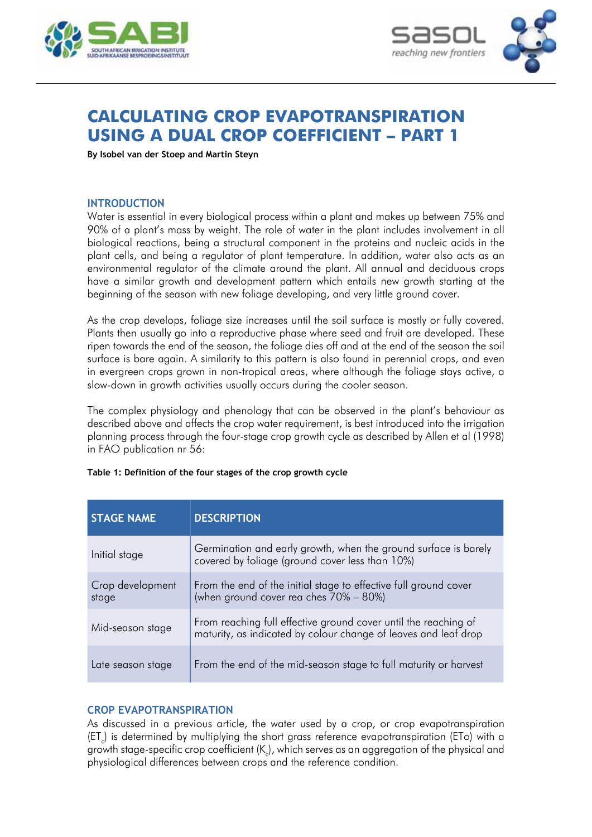



# **Calculating crop evapotranspiration using a dual crop coefficient – Part 1**

**By Isobel van der Stoep and Martin Steyn**

# **Introduction**

Water is essential in every biological process within a plant and makes up between 75% and 90% of a plant's mass by weight. The role of water in the plant includes involvement in all biological reactions, being a structural component in the proteins and nucleic acids in the plant cells, and being a regulator of plant temperature. In addition, water also acts as an environmental regulator of the climate around the plant. All annual and deciduous crops have a similar growth and development pattern which entails new growth starting at the beginning of the season with new foliage developing, and very little ground cover.

As the crop develops, foliage size increases until the soil surface is mostly or fully covered. Plants then usually go into a reproductive phase where seed and fruit are developed. These ripen towards the end of the season, the foliage dies off and at the end of the season the soil surface is bare again. A similarity to this pattern is also found in perennial crops, and even in evergreen crops grown in non-tropical areas, where although the foliage stays active, a slow-down in growth activities usually occurs during the cooler season.

The complex physiology and phenology that can be observed in the plant's behaviour as described above and affects the crop water requirement, is best introduced into the irrigation planning process through the four-stage crop growth cycle as described by Allen et al (1998) in FAO publication nr 56:

|  | Table 1: Definition of the four stages of the crop growth cycle |  |  |  |  |
|--|-----------------------------------------------------------------|--|--|--|--|
|  |                                                                 |  |  |  |  |

| <b>STAGE NAME</b>         | <b>DESCRIPTION</b>                                                                                                                 |
|---------------------------|------------------------------------------------------------------------------------------------------------------------------------|
| Initial stage             | Germination and early growth, when the ground surface is barely<br>covered by foliage (ground cover less than 10%)                 |
| Crop development<br>stage | From the end of the initial stage to effective full ground cover<br>(when ground cover rea ches 70% - 80%)                         |
| Mid-season stage          | From reaching full effective ground cover until the reaching of<br>maturity, as indicated by colour change of leaves and leaf drop |
| Late season stage         | From the end of the mid-season stage to full maturity or harvest                                                                   |

# **Crop evapotranspiration**

As discussed in a previous article, the water used by a crop, or crop evapotranspiration (ET<sub>c</sub>) is determined by multiplying the short grass reference evapotranspiration (ETo) with a growth stage-specific crop coefficient (K ), which serves as an aggregation of the physical and physiological differences between crops and the reference condition.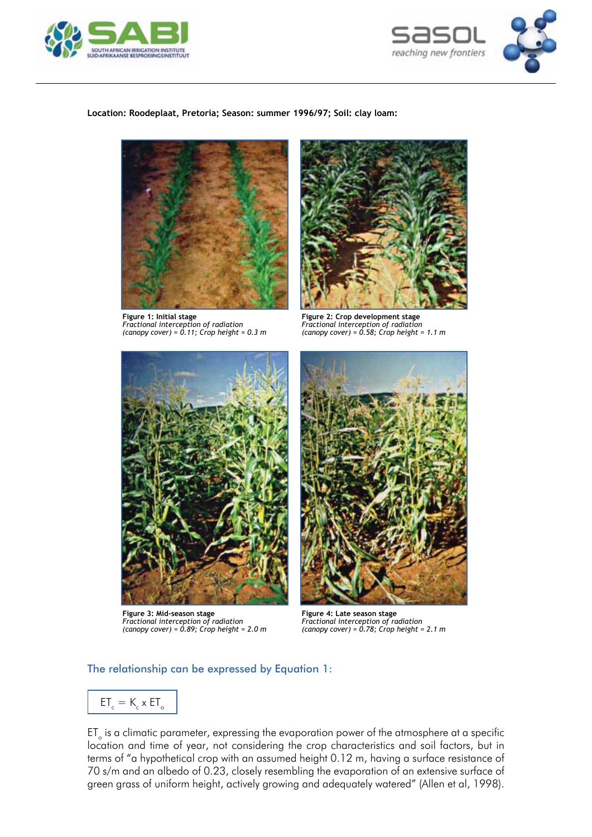



#### **Location: Roodeplaat, Pretoria; Season: summer 1996/97; Soil: clay loam:**



**Figure 1: Initial stage** *Fractional interception of radiation (canopy cover) = 0.11; Crop height = 0.3 m*



**Figure 2: Crop development stage** *Fractional interception of radiation (canopy cover) = 0.58; Crop height = 1.1 m*



**Figure 3: Mid-season stage** *Fractional interception of radiation (canopy cover) = 0.89; Crop height = 2.0 m*



**Figure 4: Late season stage** *Fractional interception of radiation (canopy cover) = 0.78; Crop height = 2.1 m*

#### The relationship can be expressed by Equation 1:

$$
ET_c = K_c \times ET_o
$$

ET $_{\circ}$  is a climatic parameter, expressing the evaporation power of the atmosphere at a specific location and time of year, not considering the crop characteristics and soil factors, but in terms of "a hypothetical crop with an assumed height 0.12 m, having a surface resistance of 70 s/m and an albedo of 0.23, closely resembling the evaporation of an extensive surface of green grass of uniform height, actively growing and adequately watered" (Allen et al, 1998).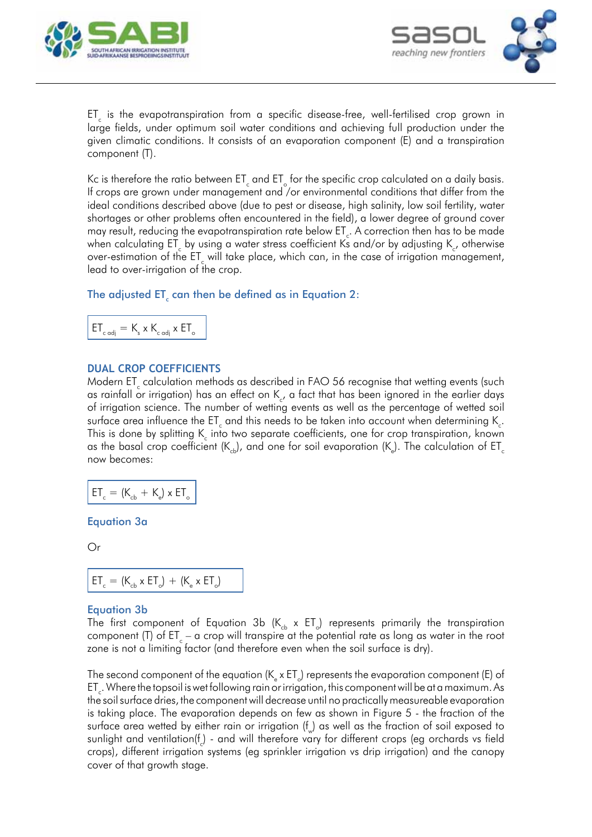



 $\mathsf{ET}_\varsigma$  is the evapotranspiration from a specific disease-free, well-fertilised crop grown in large fields, under optimum soil water conditions and achieving full production under the given climatic conditions. It consists of an evaporation component (E) and a transpiration component (T).

Kc is therefore the ratio between  $\mathsf{ET}_{\circ}$  and  $\mathsf{ET}_{\circ}$  for the specific crop calculated on a daily basis. If crops are grown under management and /or environmental conditions that differ from the ideal conditions described above (due to pest or disease, high salinity, low soil fertility, water shortages or other problems often encountered in the field), a lower degree of ground cover may result, reducing the evapotranspiration rate below ET $_{\textrm{\tiny{c}}}$ . A correction then has to be made when calculating ET $_{\textrm{\tiny{c}}}$  by using a water stress coefficient Ks and/or by adjusting K $_{\textrm{\tiny{c}}}$ , otherwise over-estimation of the ET<sub>c</sub> will take place, which can, in the case of irrigation management, lead to over-irrigation of the crop.

# The adjusted ET $_{\textrm{\tiny{c}}}$  can then be defined as in Equation 2:

$$
\mathsf{ET}_{\mathsf{c} \, \mathsf{adj}} = \mathsf{K}_{\mathsf{s}} \times \mathsf{K}_{\mathsf{c} \, \mathsf{adj}} \times \mathsf{ET}_{\mathsf{o}}
$$

# **Dual crop coefficients**

Modern ET $_{\textrm{\tiny{c}}}$  calculation methods as described in FAO 56 recognise that wetting events (such as rainfall or irrigation) has an effect on  $\mathsf{K}_c$ , a fact that has been ignored in the earlier days of irrigation science. The number of wetting events as well as the percentage of wetted soil surface area influence the ET $_{\textrm{\tiny{c}}}$  and this needs to be taken into account when determining K  $_{\textrm{\tiny{c}}}$ . This is done by splitting K<sub>c</sub> into two separate coefficients, one for crop transpiration, known as the basal crop coefficient (K<sub>cb</sub>), and one for soil evaporation (K<sub>e</sub>). The calculation of ET<sub>c</sub> now becomes:

$$
\mathsf{ET}_{\mathrm{c}} = (\mathsf{K}_{\mathrm{cb}} + \mathsf{K}_{\mathrm{e}}) \times \mathsf{ET}_{\mathrm{o}}
$$

Equation 3a

Or

$$
E_{\rm c} = (K_{\rm cb} \times E_{\rm o}) + (K_{\rm e} \times E_{\rm o})
$$

# Equation 3b

The first component of Equation 3b (K $_{\rm cb}$  x ET $_{\rm o}$ ) represents primarily the transpiration component (T) of ET $_{\textrm{\tiny{c}}}$  – a crop will transpire at the potential rate as long as water in the root zone is not a limiting factor (and therefore even when the soil surface is dry).

The second component of the equation (K  $_{\textrm{\tiny{e}}}$  x ET  $_{\textrm{\tiny{o}}}$ ) represents the evaporation component (E) of ET  $_{\!\! c}$  . Where the topsoil is wet following rain or irrigation, this component will be at a maximum. As the soil surface dries, the component will decrease until no practically measureable evaporation is taking place. The evaporation depends on few as shown in Figure 5 - the fraction of the surface area wetted by either rain or irrigation  $(f_{w})$  as well as the fraction of soil exposed to sunlight and ventilation(f $_{\rm c}$ ) - and will therefore vary for different crops (eg orchards vs field crops), different irrigation systems (eg sprinkler irrigation vs drip irrigation) and the canopy cover of that growth stage.